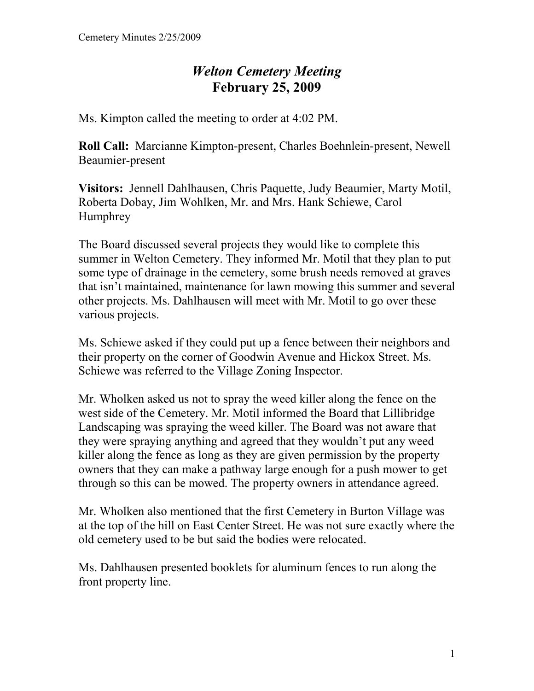## *Welton Cemetery Meeting*  **February 25, 2009**

Ms. Kimpton called the meeting to order at 4:02 PM.

**Roll Call:** Marcianne Kimpton-present, Charles Boehnlein-present, Newell Beaumier-present

**Visitors:** Jennell Dahlhausen, Chris Paquette, Judy Beaumier, Marty Motil, Roberta Dobay, Jim Wohlken, Mr. and Mrs. Hank Schiewe, Carol **Humphrey** 

The Board discussed several projects they would like to complete this summer in Welton Cemetery. They informed Mr. Motil that they plan to put some type of drainage in the cemetery, some brush needs removed at graves that isn't maintained, maintenance for lawn mowing this summer and several other projects. Ms. Dahlhausen will meet with Mr. Motil to go over these various projects.

Ms. Schiewe asked if they could put up a fence between their neighbors and their property on the corner of Goodwin Avenue and Hickox Street. Ms. Schiewe was referred to the Village Zoning Inspector.

Mr. Wholken asked us not to spray the weed killer along the fence on the west side of the Cemetery. Mr. Motil informed the Board that Lillibridge Landscaping was spraying the weed killer. The Board was not aware that they were spraying anything and agreed that they wouldn't put any weed killer along the fence as long as they are given permission by the property owners that they can make a pathway large enough for a push mower to get through so this can be mowed. The property owners in attendance agreed.

Mr. Wholken also mentioned that the first Cemetery in Burton Village was at the top of the hill on East Center Street. He was not sure exactly where the old cemetery used to be but said the bodies were relocated.

Ms. Dahlhausen presented booklets for aluminum fences to run along the front property line.